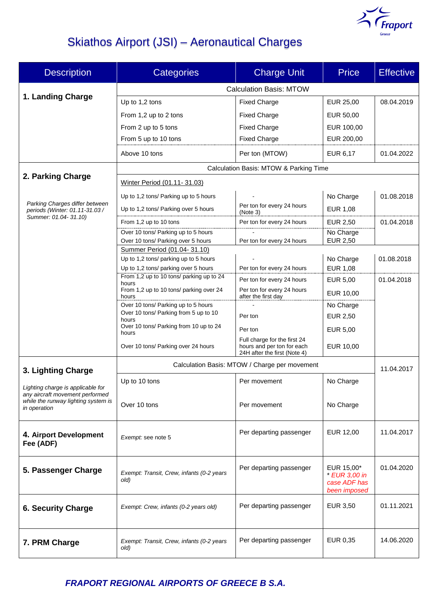

# Skiathos Airport (JSI) – Aeronautical Charges

| <b>Description</b>                                                                                                          | <b>Categories</b>                                                    | <b>Charge Unit</b>                                         | <b>Price</b>                 | <b>Effective</b> |  |
|-----------------------------------------------------------------------------------------------------------------------------|----------------------------------------------------------------------|------------------------------------------------------------|------------------------------|------------------|--|
|                                                                                                                             | <b>Calculation Basis: MTOW</b>                                       |                                                            |                              |                  |  |
| 1. Landing Charge                                                                                                           | Up to 1,2 tons                                                       | <b>Fixed Charge</b>                                        | EUR 25,00                    | 08.04.2019       |  |
|                                                                                                                             | From 1,2 up to 2 tons                                                | <b>Fixed Charge</b>                                        | EUR 50,00                    |                  |  |
|                                                                                                                             | From 2 up to 5 tons                                                  | <b>Fixed Charge</b>                                        | EUR 100,00                   |                  |  |
|                                                                                                                             | From 5 up to 10 tons                                                 | <b>Fixed Charge</b>                                        | EUR 200,00                   |                  |  |
|                                                                                                                             | Above 10 tons                                                        | Per ton (MTOW)                                             | EUR 6,17                     | 01.04.2022       |  |
|                                                                                                                             | Calculation Basis: MTOW & Parking Time                               |                                                            |                              |                  |  |
| 2. Parking Charge                                                                                                           | Winter Period (01.11-31.03)                                          |                                                            |                              |                  |  |
| Parking Charges differ between<br>periods (Winter: 01.11-31.03 /                                                            | Up to 1,2 tons/ Parking up to 5 hours                                |                                                            | No Charge                    | 01.08.2018       |  |
|                                                                                                                             | Up to 1,2 tons/ Parking over 5 hours                                 | Per ton for every 24 hours<br>(Note 3)                     | <b>EUR 1,08</b>              |                  |  |
| Summer: 01.04- 31.10)                                                                                                       | From 1,2 up to 10 tons                                               | Per ton for every 24 hours                                 | <b>EUR 2,50</b>              | 01.04.2018       |  |
|                                                                                                                             | Over 10 tons/ Parking up to 5 hours                                  |                                                            | No Charge                    |                  |  |
|                                                                                                                             | Over 10 tons/ Parking over 5 hours                                   | Per ton for every 24 hours                                 | <b>EUR 2,50</b>              |                  |  |
|                                                                                                                             | Summer Period (01.04-31.10)<br>Up to 1,2 tons/ parking up to 5 hours |                                                            |                              |                  |  |
|                                                                                                                             | Up to 1,2 tons/ parking over 5 hours                                 | Per ton for every 24 hours                                 | No Charge<br><b>EUR 1,08</b> | 01.08.2018       |  |
|                                                                                                                             | From 1,2 up to 10 tons/ parking up to 24                             | Per ton for every 24 hours                                 | <b>EUR 5,00</b>              | 01.04.2018       |  |
|                                                                                                                             | hours<br>From 1,2 up to 10 tons/ parking over 24                     | Per ton for every 24 hours                                 | EUR 10,00                    |                  |  |
|                                                                                                                             | hours<br>Over 10 tons/ Parking up to 5 hours                         | after the first day                                        | No Charge                    |                  |  |
|                                                                                                                             | Over 10 tons/ Parking from 5 up to 10                                | Per ton                                                    | EUR 2,50                     |                  |  |
|                                                                                                                             | hours<br>Over 10 tons/ Parking from 10 up to 24                      | Per ton                                                    | EUR 5,00                     |                  |  |
|                                                                                                                             | hours                                                                | Full charge for the first 24                               |                              |                  |  |
|                                                                                                                             | Over 10 tons/ Parking over 24 hours                                  | hours and per ton for each<br>24H after the first (Note 4) | EUR 10,00                    |                  |  |
| 3. Lighting Charge                                                                                                          | Calculation Basis: MTOW / Charge per movement                        |                                                            |                              |                  |  |
|                                                                                                                             | Up to 10 tons                                                        | Per movement                                               | No Charge                    |                  |  |
| Lighting charge is applicable for<br>any aircraft movement performed<br>while the runway lighting system is<br>in operation |                                                                      |                                                            |                              |                  |  |
|                                                                                                                             | Over 10 tons                                                         | Per movement                                               | No Charge                    |                  |  |
|                                                                                                                             |                                                                      |                                                            |                              |                  |  |
| 4. Airport Development<br>Fee (ADF)                                                                                         | Exempt: see note 5                                                   | Per departing passenger                                    | EUR 12,00                    | 11.04.2017       |  |
|                                                                                                                             |                                                                      |                                                            |                              |                  |  |
| 5. Passenger Charge                                                                                                         | Exempt: Transit, Crew, infants (0-2 years                            | Per departing passenger                                    | EUR 15,00*<br>* EUR 3,00 in  | 01.04.2020       |  |
|                                                                                                                             | old)                                                                 |                                                            | case ADF has<br>been imposed |                  |  |
| <b>6. Security Charge</b>                                                                                                   |                                                                      | Per departing passenger                                    | EUR 3,50                     | 01.11.2021       |  |
|                                                                                                                             | Exempt: Crew, infants (0-2 years old)                                |                                                            |                              |                  |  |
|                                                                                                                             |                                                                      |                                                            |                              |                  |  |
| 7. PRM Charge                                                                                                               | Exempt: Transit, Crew, infants (0-2 years<br>old)                    | Per departing passenger                                    | EUR 0,35                     | 14.06.2020       |  |
|                                                                                                                             |                                                                      |                                                            |                              |                  |  |

*FRAPORT REGIONAL AIRPORTS OF GREECE B S.A.*